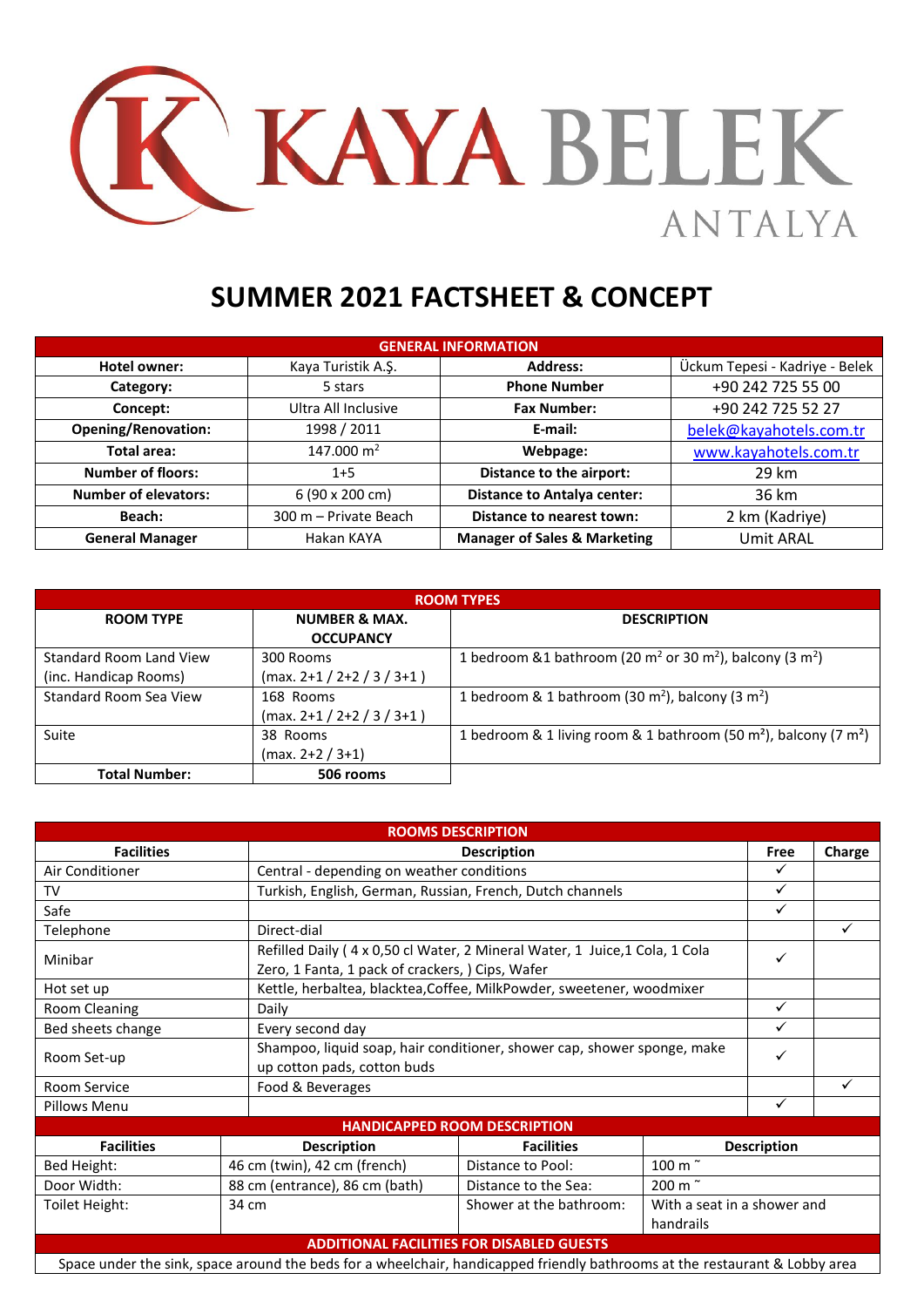

## **SUMMER 2021 FACTSHEET & CONCEPT**

| <b>GENERAL INFORMATION</b>  |                       |                                         |                                |  |  |  |  |
|-----------------------------|-----------------------|-----------------------------------------|--------------------------------|--|--|--|--|
| Hotel owner:                | Kaya Turistik A.Ş.    | <b>Address:</b>                         | Ückum Tepesi - Kadriye - Belek |  |  |  |  |
| Category:                   | 5 stars               | <b>Phone Number</b>                     | +90 242 725 55 00              |  |  |  |  |
| Concept:                    | Ultra All Inclusive   | <b>Fax Number:</b>                      | +90 242 725 52 27              |  |  |  |  |
| <b>Opening/Renovation:</b>  | 1998 / 2011           | E-mail:                                 | belek@kayahotels.com.tr        |  |  |  |  |
| Total area:                 | 147.000 $m2$          | Webpage:                                | www.kayahotels.com.tr          |  |  |  |  |
| <b>Number of floors:</b>    | $1+5$                 | Distance to the airport:                | 29 km                          |  |  |  |  |
| <b>Number of elevators:</b> | 6 (90 x 200 cm)       | <b>Distance to Antalya center:</b>      | 36 km                          |  |  |  |  |
| Beach:                      | 300 m - Private Beach | Distance to nearest town:               | 2 km (Kadriye)                 |  |  |  |  |
| <b>General Manager</b>      | Hakan KAYA            | <b>Manager of Sales &amp; Marketing</b> | <b>Umit ARAL</b>               |  |  |  |  |

| <b>ROOM TYPES</b>       |                              |                                                                                              |  |  |  |  |
|-------------------------|------------------------------|----------------------------------------------------------------------------------------------|--|--|--|--|
| <b>ROOM TYPE</b>        | <b>NUMBER &amp; MAX.</b>     | <b>DESCRIPTION</b>                                                                           |  |  |  |  |
|                         | <b>OCCUPANCY</b>             |                                                                                              |  |  |  |  |
| Standard Room Land View | 300 Rooms                    | 1 bedroom &1 bathroom (20 m <sup>2</sup> or 30 m <sup>2</sup> ), balcony (3 m <sup>2</sup> ) |  |  |  |  |
| (inc. Handicap Rooms)   | $(max. 2+1 / 2+2 / 3 / 3+1)$ |                                                                                              |  |  |  |  |
| Standard Room Sea View  | 168 Rooms                    | 1 bedroom & 1 bathroom (30 m <sup>2</sup> ), balcony (3 m <sup>2</sup> )                     |  |  |  |  |
|                         | $(max. 2+1 / 2+2 / 3 / 3+1)$ |                                                                                              |  |  |  |  |
| Suite                   | 38 Rooms                     | 1 bedroom & 1 living room & 1 bathroom (50 m <sup>2</sup> ), balcony (7 m <sup>2</sup> )     |  |  |  |  |
|                         | $(max. 2+2 / 3+1)$           |                                                                                              |  |  |  |  |
| <b>Total Number:</b>    | 506 rooms                    |                                                                                              |  |  |  |  |

| <b>ROOMS DESCRIPTION</b> |                                                                                                                             |                                                                                                                                                 |                                          |                    |              |  |  |
|--------------------------|-----------------------------------------------------------------------------------------------------------------------------|-------------------------------------------------------------------------------------------------------------------------------------------------|------------------------------------------|--------------------|--------------|--|--|
| <b>Facilities</b>        |                                                                                                                             | <b>Description</b>                                                                                                                              |                                          | Free               | Charge       |  |  |
| Air Conditioner          | Central - depending on weather conditions                                                                                   |                                                                                                                                                 |                                          | $\checkmark$       |              |  |  |
| TV                       | Turkish, English, German, Russian, French, Dutch channels                                                                   |                                                                                                                                                 |                                          | $\checkmark$       |              |  |  |
| Safe                     |                                                                                                                             |                                                                                                                                                 |                                          | $\checkmark$       |              |  |  |
| Telephone                | Direct-dial                                                                                                                 | $\checkmark$                                                                                                                                    |                                          |                    |              |  |  |
| Minibar                  |                                                                                                                             | Refilled Daily (4 x 0,50 cl Water, 2 Mineral Water, 1 Juice, 1 Cola, 1 Cola<br>$\checkmark$<br>Zero, 1 Fanta, 1 pack of crackers, ) Cips, Wafer |                                          |                    |              |  |  |
| Hot set up               | Kettle, herbaltea, blacktea, Coffee, MilkPowder, sweetener, woodmixer                                                       |                                                                                                                                                 |                                          |                    |              |  |  |
| Room Cleaning            | Daily                                                                                                                       | $\checkmark$                                                                                                                                    |                                          |                    |              |  |  |
| Bed sheets change        | Every second day                                                                                                            | $\checkmark$                                                                                                                                    |                                          |                    |              |  |  |
| Room Set-up              | up cotton pads, cotton buds                                                                                                 | Shampoo, liquid soap, hair conditioner, shower cap, shower sponge, make                                                                         |                                          |                    |              |  |  |
| Room Service             | Food & Beverages                                                                                                            |                                                                                                                                                 |                                          |                    | $\checkmark$ |  |  |
| Pillows Menu             |                                                                                                                             |                                                                                                                                                 |                                          | $\checkmark$       |              |  |  |
|                          |                                                                                                                             | <b>HANDICAPPED ROOM DESCRIPTION</b>                                                                                                             |                                          |                    |              |  |  |
| <b>Facilities</b>        | <b>Description</b>                                                                                                          | <b>Facilities</b>                                                                                                                               |                                          | <b>Description</b> |              |  |  |
| Bed Height:              | 46 cm (twin), 42 cm (french)                                                                                                | Distance to Pool:                                                                                                                               | 100 m <sup>~</sup>                       |                    |              |  |  |
| Door Width:              | 88 cm (entrance), 86 cm (bath)                                                                                              | Distance to the Sea:                                                                                                                            | 200 m <sup>~</sup>                       |                    |              |  |  |
| Toilet Height:           | 34 cm                                                                                                                       | Shower at the bathroom:                                                                                                                         | With a seat in a shower and<br>handrails |                    |              |  |  |
|                          |                                                                                                                             | <b>ADDITIONAL FACILITIES FOR DISABLED GUESTS</b>                                                                                                |                                          |                    |              |  |  |
|                          | Space under the sink, space around the beds for a wheelchair, handicapped friendly bathrooms at the restaurant & Lobby area |                                                                                                                                                 |                                          |                    |              |  |  |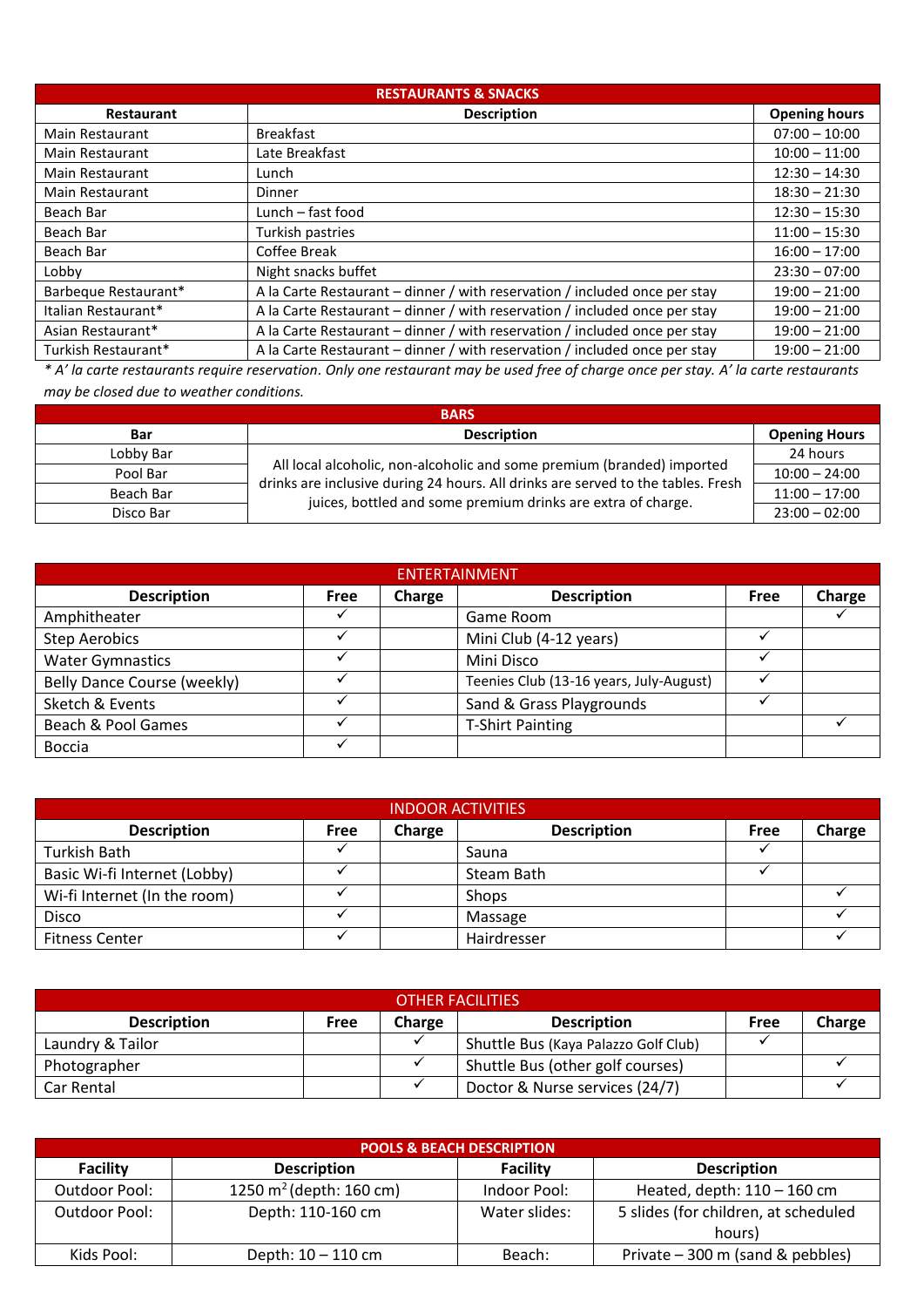| <b>RESTAURANTS &amp; SNACKS</b> |                                                                            |                      |  |  |  |  |
|---------------------------------|----------------------------------------------------------------------------|----------------------|--|--|--|--|
| <b>Restaurant</b>               | <b>Description</b>                                                         | <b>Opening hours</b> |  |  |  |  |
| <b>Main Restaurant</b>          | <b>Breakfast</b>                                                           | $07:00 - 10:00$      |  |  |  |  |
| <b>Main Restaurant</b>          | Late Breakfast                                                             | $10:00 - 11:00$      |  |  |  |  |
| <b>Main Restaurant</b>          | Lunch                                                                      | $12:30 - 14:30$      |  |  |  |  |
| Main Restaurant                 | Dinner                                                                     | $18:30 - 21:30$      |  |  |  |  |
| Beach Bar                       | Lunch – fast food                                                          | $12:30 - 15:30$      |  |  |  |  |
| Beach Bar                       | Turkish pastries                                                           | $11:00 - 15:30$      |  |  |  |  |
| Beach Bar                       | Coffee Break                                                               | $16:00 - 17:00$      |  |  |  |  |
| Lobby                           | Night snacks buffet                                                        | $23:30 - 07:00$      |  |  |  |  |
| Barbeque Restaurant*            | A la Carte Restaurant – dinner / with reservation / included once per stay | $19:00 - 21:00$      |  |  |  |  |
| Italian Restaurant*             | A la Carte Restaurant – dinner / with reservation / included once per stay | $19:00 - 21:00$      |  |  |  |  |
| Asian Restaurant*               | A la Carte Restaurant – dinner / with reservation / included once per stay | $19:00 - 21:00$      |  |  |  |  |
| Turkish Restaurant*             | A la Carte Restaurant – dinner / with reservation / included once per stay | $19:00 - 21:00$      |  |  |  |  |

*\* A' la carte restaurants require reservation. Only one restaurant may be used free of charge once per stay. A' la carte restaurants may be closed due to weather conditions.*

| <b>BARS</b> |                                                                                                                                                            |                      |  |  |  |  |  |
|-------------|------------------------------------------------------------------------------------------------------------------------------------------------------------|----------------------|--|--|--|--|--|
| <b>Bar</b>  | <b>Description</b>                                                                                                                                         | <b>Opening Hours</b> |  |  |  |  |  |
| Lobby Bar   |                                                                                                                                                            | 24 hours             |  |  |  |  |  |
| Pool Bar    | All local alcoholic, non-alcoholic and some premium (branded) imported<br>drinks are inclusive during 24 hours. All drinks are served to the tables. Fresh | $10:00 - 24:00$      |  |  |  |  |  |
| Beach Bar   | juices, bottled and some premium drinks are extra of charge.                                                                                               | $11:00 - 17:00$      |  |  |  |  |  |
| Disco Bar   |                                                                                                                                                            | $23:00 - 02:00$      |  |  |  |  |  |

| <b>ENTERTAINMENT</b>        |             |        |                                         |             |        |  |  |
|-----------------------------|-------------|--------|-----------------------------------------|-------------|--------|--|--|
| <b>Description</b>          | <b>Free</b> | Charge | <b>Description</b>                      | <b>Free</b> | Charge |  |  |
| Amphitheater                |             |        | Game Room                               |             |        |  |  |
| <b>Step Aerobics</b>        |             |        | Mini Club (4-12 years)                  |             |        |  |  |
| <b>Water Gymnastics</b>     |             |        | Mini Disco                              |             |        |  |  |
| Belly Dance Course (weekly) |             |        | Teenies Club (13-16 years, July-August) |             |        |  |  |
| Sketch & Events             |             |        | Sand & Grass Playgrounds                |             |        |  |  |
| Beach & Pool Games          |             |        | <b>T-Shirt Painting</b>                 |             |        |  |  |
| Boccia                      |             |        |                                         |             |        |  |  |

| <b>INDOOR ACTIVITIES</b>     |             |        |                    |      |        |  |  |
|------------------------------|-------------|--------|--------------------|------|--------|--|--|
| <b>Description</b>           | <b>Free</b> | Charge | <b>Description</b> | Free | Charge |  |  |
| Turkish Bath                 |             |        | Sauna              |      |        |  |  |
| Basic Wi-fi Internet (Lobby) |             |        | Steam Bath         |      |        |  |  |
| Wi-fi Internet (In the room) |             |        | <b>Shops</b>       |      |        |  |  |
| Disco                        |             |        | Massage            |      |        |  |  |
| <b>Fitness Center</b>        |             |        | Hairdresser        |      |        |  |  |

| <b>OTHER FACILITIES</b> |      |        |                                      |      |        |  |
|-------------------------|------|--------|--------------------------------------|------|--------|--|
| <b>Description</b>      | Free | Charge | <b>Description</b>                   | Free | Charge |  |
| Laundry & Tailor        |      |        | Shuttle Bus (Kaya Palazzo Golf Club) |      |        |  |
| Photographer            |      |        | Shuttle Bus (other golf courses)     |      |        |  |
| Car Rental              |      |        | Doctor & Nurse services (24/7)       |      |        |  |

|                      | <b>POOLS &amp; BEACH DESCRIPTION</b> |                 |                                                |  |  |  |  |
|----------------------|--------------------------------------|-----------------|------------------------------------------------|--|--|--|--|
| <b>Facility</b>      | <b>Description</b>                   | <b>Facility</b> | <b>Description</b>                             |  |  |  |  |
| Outdoor Pool:        | 1250 $m^2$ (depth: 160 cm)           | Indoor Pool:    | Heated, depth: $110 - 160$ cm                  |  |  |  |  |
| <b>Outdoor Pool:</b> | Depth: 110-160 cm                    | Water slides:   | 5 slides (for children, at scheduled<br>hours) |  |  |  |  |
| Kids Pool:           | Depth: $10 - 110$ cm                 | Beach:          | Private - 300 m (sand & pebbles)               |  |  |  |  |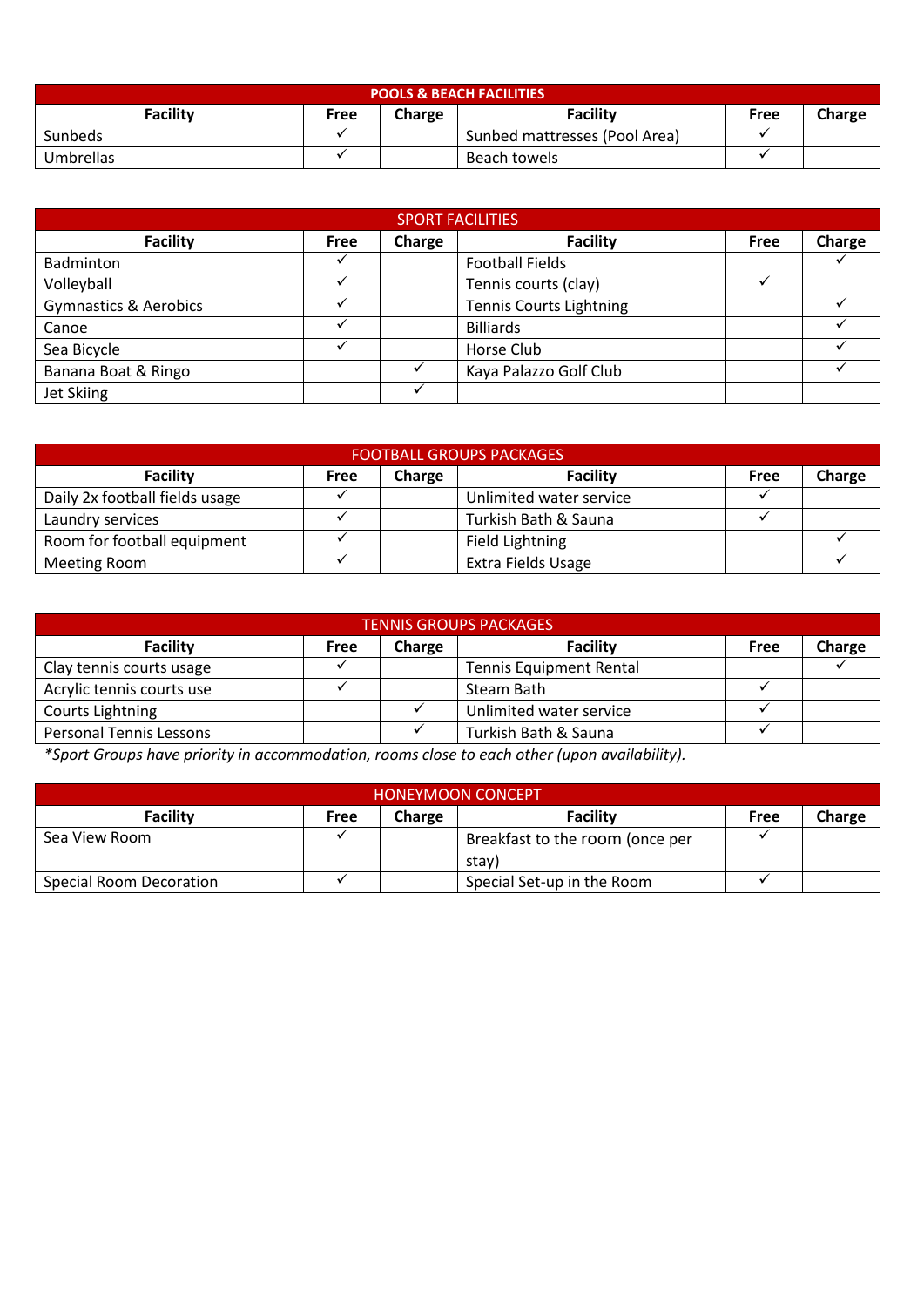| <b>POOLS &amp; BEACH FACILITIES</b>                      |  |  |                               |  |  |  |  |
|----------------------------------------------------------|--|--|-------------------------------|--|--|--|--|
| Facility<br>Facility<br>Charge<br>Charge<br>Free<br>Free |  |  |                               |  |  |  |  |
| Sunbeds                                                  |  |  | Sunbed mattresses (Pool Area) |  |  |  |  |
| Umbrellas                                                |  |  | Beach towels                  |  |  |  |  |

| <b>SPORT FACILITIES</b>          |             |        |                                |      |        |  |  |
|----------------------------------|-------------|--------|--------------------------------|------|--------|--|--|
| <b>Facility</b>                  | <b>Free</b> | Charge | <b>Facility</b>                | Free | Charge |  |  |
| Badminton                        |             |        | <b>Football Fields</b>         |      |        |  |  |
| Volleyball                       |             |        | Tennis courts (clay)           |      |        |  |  |
| <b>Gymnastics &amp; Aerobics</b> |             |        | <b>Tennis Courts Lightning</b> |      |        |  |  |
| Canoe                            |             |        | <b>Billiards</b>               |      |        |  |  |
| Sea Bicycle                      |             |        | Horse Club                     |      |        |  |  |
| Banana Boat & Ringo              |             |        | Kaya Palazzo Golf Club         |      |        |  |  |
| Jet Skiing                       |             |        |                                |      |        |  |  |

| <b>FOOTBALL GROUPS PACKAGES</b>                                        |  |  |                         |  |  |  |  |
|------------------------------------------------------------------------|--|--|-------------------------|--|--|--|--|
| Facility<br>Charge<br><b>Facility</b><br>Charge<br><b>Free</b><br>Free |  |  |                         |  |  |  |  |
| Daily 2x football fields usage                                         |  |  | Unlimited water service |  |  |  |  |
| Laundry services                                                       |  |  | Turkish Bath & Sauna    |  |  |  |  |
| Room for football equipment                                            |  |  | Field Lightning         |  |  |  |  |
| <b>Meeting Room</b>                                                    |  |  | Extra Fields Usage      |  |  |  |  |

| <b>TENNIS GROUPS PACKAGES</b>  |      |        |                                |      |        |  |  |  |
|--------------------------------|------|--------|--------------------------------|------|--------|--|--|--|
| Facility                       | Free | Charge | <b>Facility</b>                | Free | Charge |  |  |  |
| Clay tennis courts usage       |      |        | <b>Tennis Equipment Rental</b> |      |        |  |  |  |
| Acrylic tennis courts use      |      |        | Steam Bath                     |      |        |  |  |  |
| Courts Lightning               |      |        | Unlimited water service        |      |        |  |  |  |
| <b>Personal Tennis Lessons</b> |      |        | Turkish Bath & Sauna           |      |        |  |  |  |

*\*Sport Groups have priority in accommodation, rooms close to each other (upon availability).*

| <b>HONEYMOON CONCEPT</b>       |      |               |                                          |      |        |  |  |  |
|--------------------------------|------|---------------|------------------------------------------|------|--------|--|--|--|
| Facility                       | Free | <b>Charge</b> | <b>Facility</b>                          | Free | Charge |  |  |  |
| Sea View Room                  |      |               | Breakfast to the room (once per<br>stav) |      |        |  |  |  |
| <b>Special Room Decoration</b> |      |               | Special Set-up in the Room               |      |        |  |  |  |